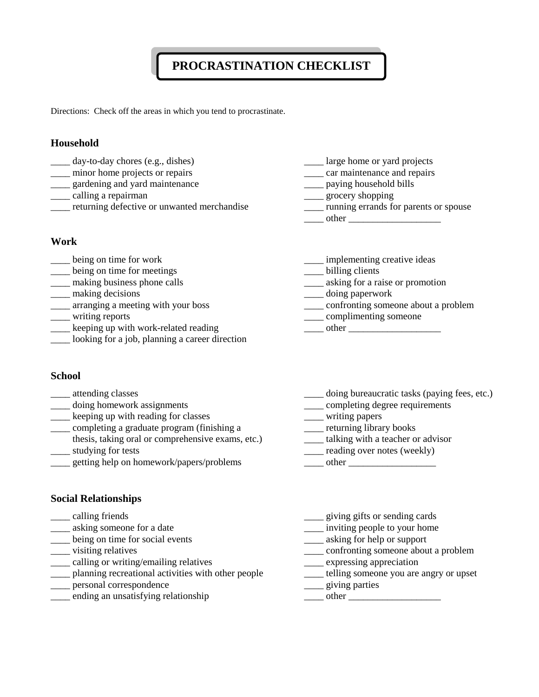# **PROCRASTINATION CHECKLIST**

Directions: Check off the areas in which you tend to procrastinate.

#### **Household**

- \_\_\_\_ day-to-day chores (e.g., dishes) \_\_\_\_ large home or yard projects
- 
- 
- 
- \_\_\_\_ returning defective or unwanted merchandise \_\_\_\_ running errands for parents or spouse

#### **Work**

- 
- Letting on time for meetings the set of the billing clients
- 
- 
- 
- 
- Let up with work-related reading and the context of the context of the context of the context of the context of the context of the context of the context of the context of the context of the context of the context of the c
- looking for a job, planning a career direction

#### **School**

- 
- \_\_\_\_ doing homework assignments \_\_\_\_ completing degree requirements
- \_\_\_\_ keeping up with reading for classes \_\_\_\_ writing papers
- \_\_\_\_ completing a graduate program (finishing a \_\_\_\_ returning library books
- thesis, taking oral or comprehensive exams, etc.) \_\_\_\_ talking with a teacher or advisor \_\_\_\_ studying for tests \_\_\_\_ reading over notes (weekly)
- \_\_\_\_ getting help on homework/papers/problems \_\_\_\_ other \_\_\_\_\_\_\_\_\_\_\_\_\_\_\_\_\_\_

- \_\_\_\_ minor home projects or repairs \_\_\_\_ car maintenance and repairs
- example and yard maintenance and series are paying household bills
- \_\_\_\_ calling a repairman \_\_\_\_ grocery shopping
	-

 $\Box$  other  $\Box$ 

- Letter the ing on time for work and the settlement in the inplementing creative ideas
	-
- \_\_\_\_ making business phone calls \_\_\_\_ asking for a raise or promotion
- \_\_\_\_ making decisions \_\_\_\_ doing paperwork
- \_\_\_\_ arranging a meeting with your boss \_\_\_\_ confronting someone about a problem
- \_\_\_\_ writing reports \_\_\_\_ complimenting someone
	-
- \_\_\_\_ attending classes doing bureaucratic tasks (paying fees, etc.)
	-
	-
	-
	-
	-
	-

## **Social Relationships**

- 
- 
- \_\_\_\_ being on time for social events \_\_\_\_ asking for help or support
- 
- 
- \_\_\_\_ calling or writing/emailing relatives \_\_\_\_ expressing appreciation  $\frac{1}{\sqrt{1-\frac{1}{\sqrt{1-\frac{1}{\sqrt{1-\frac{1}{\sqrt{1-\frac{1}{\sqrt{1-\frac{1}{\sqrt{1-\frac{1}{\sqrt{1-\frac{1}{\sqrt{1-\frac{1}{\sqrt{1-\frac{1}{\sqrt{1-\frac{1}{\sqrt{1-\frac{1}{\sqrt{1-\frac{1}{\sqrt{1-\frac{1}{\sqrt{1-\frac{1}{\sqrt{1-\frac{1}{\sqrt{1-\frac{1}{\sqrt{1-\frac{1}{\sqrt{1-\frac{1}{\sqrt{1-\frac{1}{\sqrt{1-\frac{1}{\sqrt{1-\frac{1}{\sqrt{1-\frac{1}{\sqrt{1-\frac{1}{\sqrt{1-\frac{1}{$
- \_\_\_\_ personal correspondence \_\_\_\_\_ giving parties
- \_\_\_\_ ending an unsatisfying relationship \_\_\_\_ other \_\_\_\_\_\_\_\_\_\_\_\_\_\_\_\_\_\_\_
- \_\_\_\_ calling friends \_\_\_\_ giving gifts or sending cards
- example someone for a date and the set of the set of the set of the set of the set of the set of the set of the set of the set of the set of the set of the set of the set of the set of the set of the set of the set of the
	-
- \_\_\_\_ visiting relatives \_\_\_\_ confronting someone about a problem
	-
	-
	-
	-